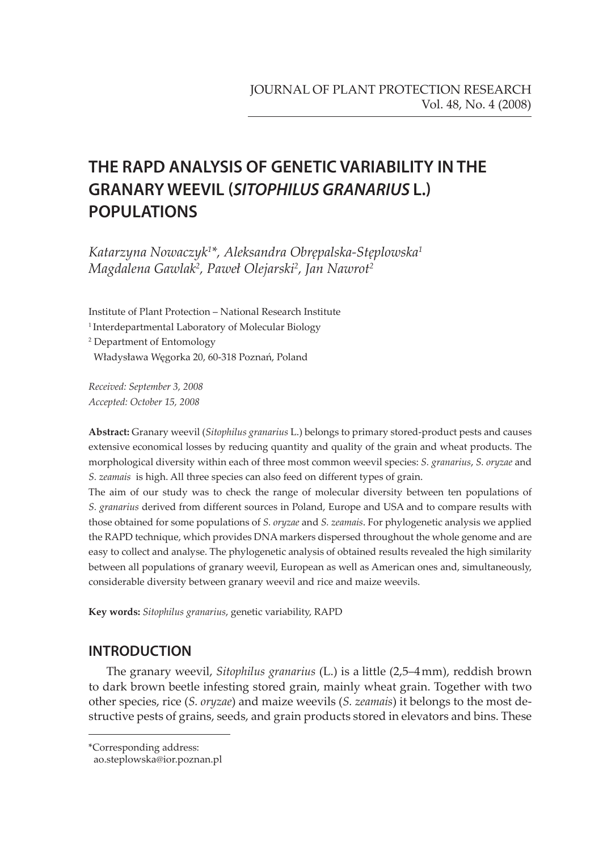# **THE RAPD ANALYSIS OF GENETIC VARIABILITY IN THE GRANARY WEEVIL (SITOPHILUS GRANARIUS L.) POPULATIONS**

*Katarzyna Nowaczyk1 \*, Aleksandra Obrępalska-Stęplowska1 Magdalena Gawlak2 , Paweł Olejarski2 , Jan Nawrot2*

Institute of Plant Protection – National Research Institute <sup>1</sup> Interdepartmental Laboratory of Molecular Biology 2 Department of Entomology Władysława Węgorka 20, 60-318 Poznań, Poland

*Received: September 3, 2008 Accepted: October 15, 2008*

**Abstract:** Granary weevil (*Sitophilus granarius* L.) belongs to primary stored-product pests and causes extensive economical losses by reducing quantity and quality of the grain and wheat products. The morphological diversity within each of three most common weevil species: *S. granarius*, *S. oryzae* and *S. zeamais* is high. All three species can also feed on different types of grain.

The aim of our study was to check the range of molecular diversity between ten populations of *S. granarius* derived from different sources in Poland, Europe and USA and to compare results with those obtained for some populations of *S. oryzae* and *S. zeamais*. For phylogenetic analysis we applied the RAPD technique, which provides DNA markers dispersed throughout the whole genome and are easy to collect and analyse. The phylogenetic analysis of obtained results revealed the high similarity between all populations of granary weevil, European as well as American ones and, simultaneously, considerable diversity between granary weevil and rice and maize weevils.

**Key words:** *Sitophilus granarius*, genetic variability, RAPD

## **INTRODUCTION**

The granary weevil, *Sitophilus granarius* (L.) is a little (2,5–4 mm), reddish brown to dark brown beetle infesting stored grain, mainly wheat grain. Together with two other species, rice (*S. oryzae*) and maize weevils (*S. zeamais*) it belongs to the most destructive pests of grains, seeds, and grain products stored in elevators and bins. These

<sup>\*</sup>Corresponding address:

ao.steplowska@ior.poznan.pl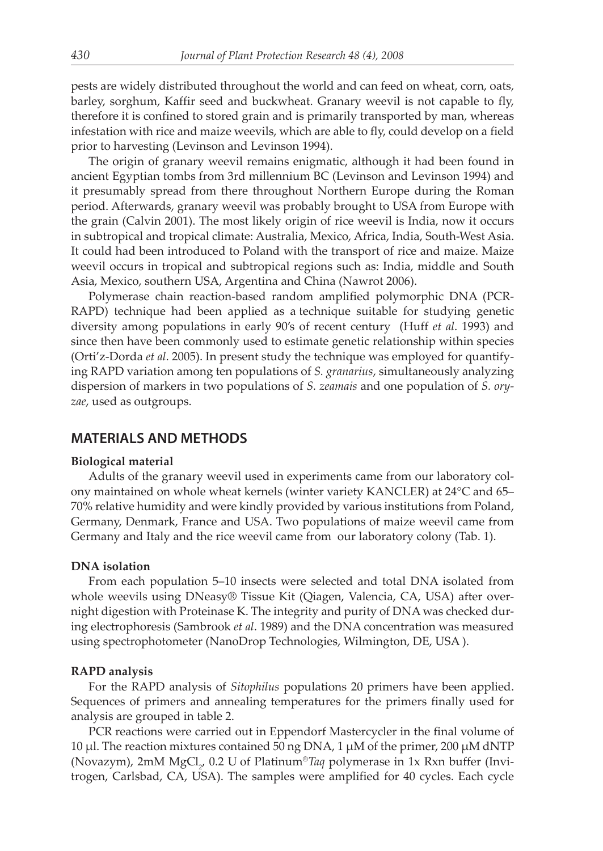pests are widely distributed throughout the world and can feed on wheat, corn, oats, barley, sorghum, Kaffir seed and buckwheat. Granary weevil is not capable to fly, therefore it is confined to stored grain and is primarily transported by man, whereas infestation with rice and maize weevils, which are able to fly, could develop on a field prior to harvesting (Levinson and Levinson 1994).

The origin of granary weevil remains enigmatic, although it had been found in ancient Egyptian tombs from 3rd millennium BC (Levinson and Levinson 1994) and it presumably spread from there throughout Northern Europe during the Roman period. Afterwards, granary weevil was probably brought to USA from Europe with the grain (Calvin 2001). The most likely origin of rice weevil is India, now it occurs in subtropical and tropical climate: Australia, Mexico, Africa, India, South-West Asia. It could had been introduced to Poland with the transport of rice and maize. Maize weevil occurs in tropical and subtropical regions such as: India, middle and South Asia, Mexico, southern USA, Argentina and China (Nawrot 2006).

Polymerase chain reaction-based random amplified polymorphic DNA (PCR-RAPD) technique had been applied as a technique suitable for studying genetic diversity among populations in early 90's of recent century (Huff *et al*. 1993) and since then have been commonly used to estimate genetic relationship within species (Orti'z-Dorda *et al*. 2005). In present study the technique was employed for quantifying RAPD variation among ten populations of *S. granarius*, simultaneously analyzing dispersion of markers in two populations of *S. zeamais* and one population of *S. oryzae*, used as outgroups.

## **MATERIALS AND METHODS**

#### **Biological material**

Adults of the granary weevil used in experiments came from our laboratory colony maintained on whole wheat kernels (winter variety KANCLER) at 24°C and 65– 70% relative humidity and were kindly provided by various institutions from Poland, Germany, Denmark, France and USA. Two populations of maize weevil came from Germany and Italy and the rice weevil came from our laboratory colony (Tab. 1).

#### **DNA isolation**

From each population 5–10 insects were selected and total DNA isolated from whole weevils using DNeasy® Tissue Kit (Qiagen, Valencia, CA, USA) after overnight digestion with Proteinase K. The integrity and purity of DNA was checked during electrophoresis (Sambrook *et al*. 1989) and the DNA concentration was measured using spectrophotometer (NanoDrop Technologies, Wilmington, DE, USA ).

#### **RAPD analysis**

For the RAPD analysis of *Sitophilus* populations 20 primers have been applied. Sequences of primers and annealing temperatures for the primers finally used for analysis are grouped in table 2.

PCR reactions were carried out in Eppendorf Mastercycler in the final volume of 10 µl. The reaction mixtures contained 50 ng DNA, 1 µM of the primer, 200 µM dNTP (Novazym), 2mM MgCl<sub>2</sub>, 0.2 U of Platinum®*Taq* polymerase in 1x Rxn buffer (Invitrogen, Carlsbad, CA, USA). The samples were amplified for 40 cycles. Each cycle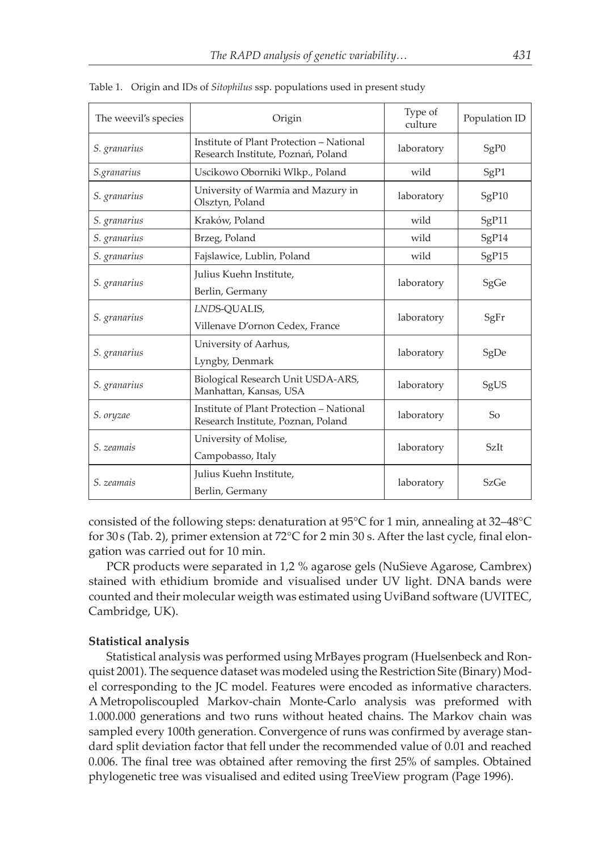| The weevil's species | Origin                                                                         | Type of<br>culture | Population ID |
|----------------------|--------------------------------------------------------------------------------|--------------------|---------------|
| S. granarius         | Institute of Plant Protection - National<br>Research Institute, Poznań, Poland |                    | SgP0          |
| S.granarius          | Uscikowo Oborniki Wlkp., Poland                                                | wild               | SgP1          |
| S. granarius         | University of Warmia and Mazury in<br>Olsztyn, Poland                          | laboratory         | SgP10         |
| S. granarius         | Kraków, Poland                                                                 | wild               | SgP11         |
| S. granarius         | Brzeg, Poland                                                                  | wild               | SgP14         |
| S. granarius         | Fajslawice, Lublin, Poland                                                     | wild               | SgP15         |
| S. granarius         | Julius Kuehn Institute,<br>Berlin, Germany                                     | laboratory         | SgGe          |
| S. granarius         | LNDS-QUALIS,<br>Villenave D'ornon Cedex, France                                | laboratory         | SgFr          |
| S. granarius         | University of Aarhus,<br>Lyngby, Denmark                                       | laboratory         | SgDe          |
| S. granarius         | Biological Research Unit USDA-ARS,<br>Manhattan, Kansas, USA                   |                    | SgUS          |
| S. oryzae            | Institute of Plant Protection - National<br>Research Institute, Poznan, Poland |                    | So            |
| S. zeamais           | University of Molise,<br>Campobasso, Italy                                     | laboratory         | <b>SzIt</b>   |
| S. zeamais           | Julius Kuehn Institute,<br>Berlin, Germany                                     | laboratory         | SzGe          |

Table 1. Origin and IDs of *Sitophilus* ssp. populations used in present study

consisted of the following steps: denaturation at 95°C for 1 min, annealing at 32–48°C for 30 s (Tab. 2), primer extension at 72°C for 2 min 30 s. After the last cycle, final elongation was carried out for 10 min.

PCR products were separated in 1,2 % agarose gels (NuSieve Agarose, Cambrex) stained with ethidium bromide and visualised under UV light. DNA bands were counted and their molecular weigth was estimated using UviBand software (UVITEC, Cambridge, UK).

#### **Statistical analysis**

Statistical analysis was performed using MrBayes program (Huelsenbeck and Ronquist 2001). The sequence dataset was modeled using the Restriction Site (Binary) Model corresponding to the JC model. Features were encoded as informative characters. A Metropoliscoupled Markov-chain Monte-Carlo analysis was preformed with 1.000.000 generations and two runs without heated chains. The Markov chain was sampled every 100th generation. Convergence of runs was confirmed by average standard split deviation factor that fell under the recommended value of 0.01 and reached 0.006. The final tree was obtained after removing the first 25% of samples. Obtained phylogenetic tree was visualised and edited using TreeView program (Page 1996).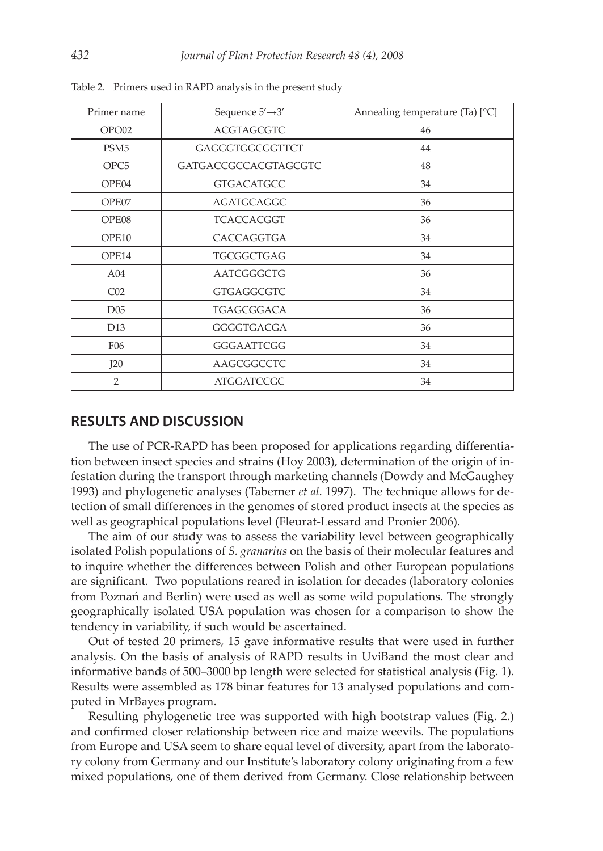| Primer name      | Sequence $5' \rightarrow 3'$ | Annealing temperature (Ta) $[^{\circ}C]$ |
|------------------|------------------------------|------------------------------------------|
| OPO02            | <b>ACGTAGCGTC</b>            | 46                                       |
| PSM <sub>5</sub> | GAGGGTGGCGGTTCT              | 44                                       |
| OPC <sub>5</sub> | <b>GATGACCGCCACGTAGCGTC</b>  | 48                                       |
| OPE04            | <b>GTGACATGCC</b>            | 34                                       |
| OPE07            | <b>AGATGCAGGC</b>            | 36                                       |
| OPE08            | <b>TCACCACGGT</b>            | 36                                       |
| OPE10            | CACCAGGTGA                   | 34                                       |
| OPE14            | <b>TGCGGCTGAG</b>            | 34                                       |
| A04              | AATCGGGCTG                   | 36                                       |
| CO <sub>2</sub>  | <b>GTGAGGCGTC</b>            | 34                                       |
| D <sub>05</sub>  | TGAGCGGACA                   | 36                                       |
| D <sub>13</sub>  | GGGGTGACGA                   | 36                                       |
| F <sub>06</sub>  | GGGAATTCGG                   | 34                                       |
| I20              | AAGCGGCCTC                   | 34                                       |
| $\overline{2}$   | <b>ATGGATCCGC</b>            | 34                                       |

Table 2. Primers used in RAPD analysis in the present study

### **RESULTS AND DISCUSSION**

The use of PCR-RAPD has been proposed for applications regarding differentiation between insect species and strains (Hoy 2003), determination of the origin of infestation during the transport through marketing channels (Dowdy and McGaughey 1993) and phylogenetic analyses (Taberner *et al*. 1997). The technique allows for detection of small differences in the genomes of stored product insects at the species as well as geographical populations level (Fleurat-Lessard and Pronier 2006).

The aim of our study was to assess the variability level between geographically isolated Polish populations of *S. granarius* on the basis of their molecular features and to inquire whether the differences between Polish and other European populations are significant. Two populations reared in isolation for decades (laboratory colonies from Poznań and Berlin) were used as well as some wild populations. The strongly geographically isolated USA population was chosen for a comparison to show the tendency in variability, if such would be ascertained.

Out of tested 20 primers, 15 gave informative results that were used in further analysis. On the basis of analysis of RAPD results in UviBand the most clear and informative bands of 500–3000 bp length were selected for statistical analysis (Fig. 1). Results were assembled as 178 binar features for 13 analysed populations and computed in MrBayes program.

Resulting phylogenetic tree was supported with high bootstrap values (Fig. 2.) and confirmed closer relationship between rice and maize weevils. The populations from Europe and USA seem to share equal level of diversity, apart from the laboratory colony from Germany and our Institute's laboratory colony originating from a few mixed populations, one of them derived from Germany. Close relationship between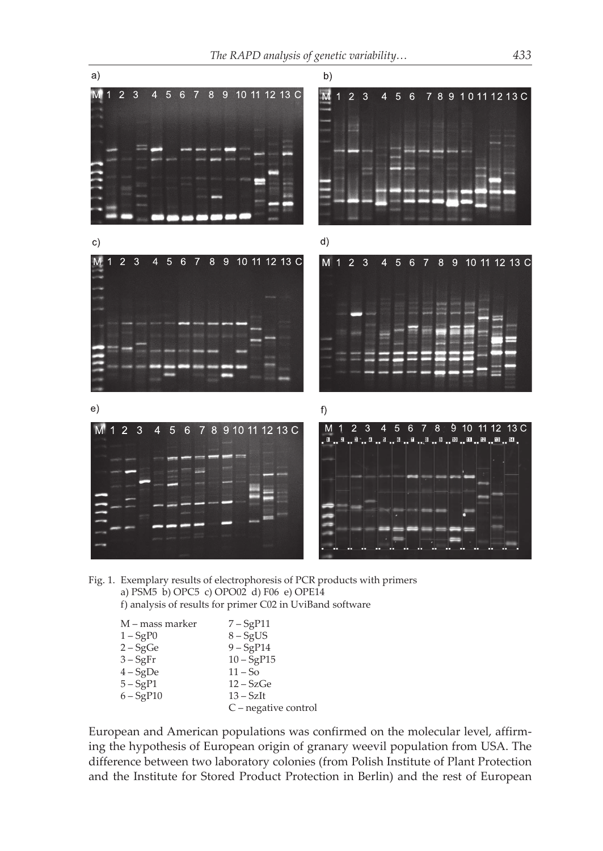

Fig. 1. Exemplary results of electrophoresis of PCR products with primers a) PSM5 b) OPC5 c) OPO02 d) F06 e) OPE14 f) analysis of results for primer C02 in UviBand software

| M – mass marker | $7 - SgP11$          |
|-----------------|----------------------|
| $1 - SgP0$      | $8 - SgUS$           |
| $2 - SgGe$      | $9 - SgP14$          |
| $3 - SgFr$      | $10 - SgP15$         |
| $4-SgDe$        | $11 - So$            |
| $5 - SgP1$      | $12 - SzGe$          |
| $6 - SgP10$     | $13 - SzIt$          |
|                 | C – negative control |

European and American populations was confirmed on the molecular level, affirming the hypothesis of European origin of granary weevil population from USA. The difference between two laboratory colonies (from Polish Institute of Plant Protection and the Institute for Stored Product Protection in Berlin) and the rest of European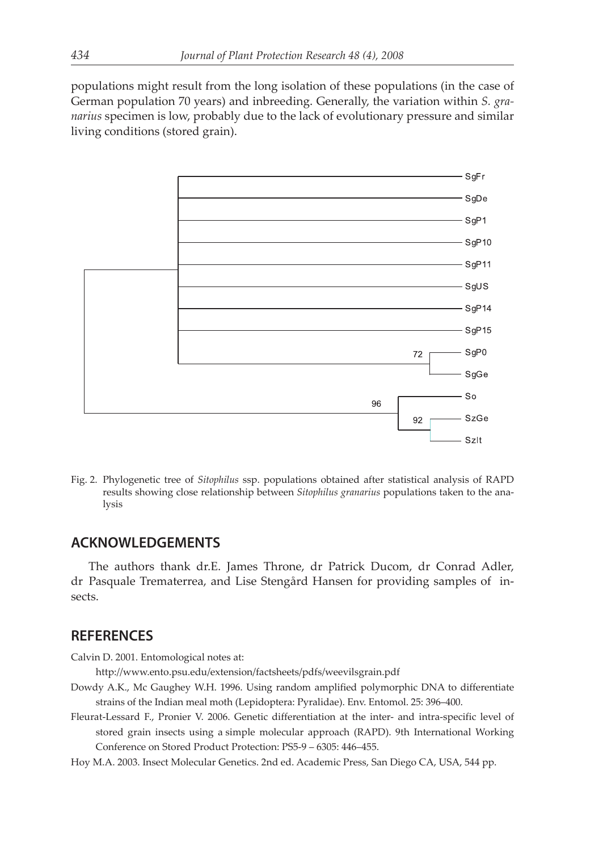populations might result from the long isolation of these populations (in the case of German population 70 years) and inbreeding. Generally, the variation within *S. granarius* specimen is low, probably due to the lack of evolutionary pressure and similar living conditions (stored grain).



Fig. 2. Phylogenetic tree of *Sitophilus* ssp. populations obtained after statistical analysis of RAPD results showing close relationship between *Sitophilus granarius* populations taken to the analysis

## **ACKNOWLEDGEMENTS**

The authors thank dr.E. James Throne, dr Patrick Ducom, dr Conrad Adler, dr Pasquale Trematerrea, and Lise Stengård Hansen for providing samples of insects.

## **REFERENCES**

Calvin D. 2001. Entomological notes at:

http://www.ento.psu.edu/extension/factsheets/pdfs/weevilsgrain.pdf

- Dowdy A.K., Mc Gaughey W.H. 1996. Using random amplified polymorphic DNA to differentiate strains of the Indian meal moth (Lepidoptera: Pyralidae). Env. Entomol. 25: 396–400.
- Fleurat-Lessard F., Pronier V. 2006. Genetic differentiation at the inter- and intra-specific level of stored grain insects using a simple molecular approach (RAPD). 9th International Working Conference on Stored Product Protection: PS5-9 – 6305: 446–455.
- Hoy M.A. 2003. Insect Molecular Genetics. 2nd ed. Academic Press, San Diego CA, USA, 544 pp.